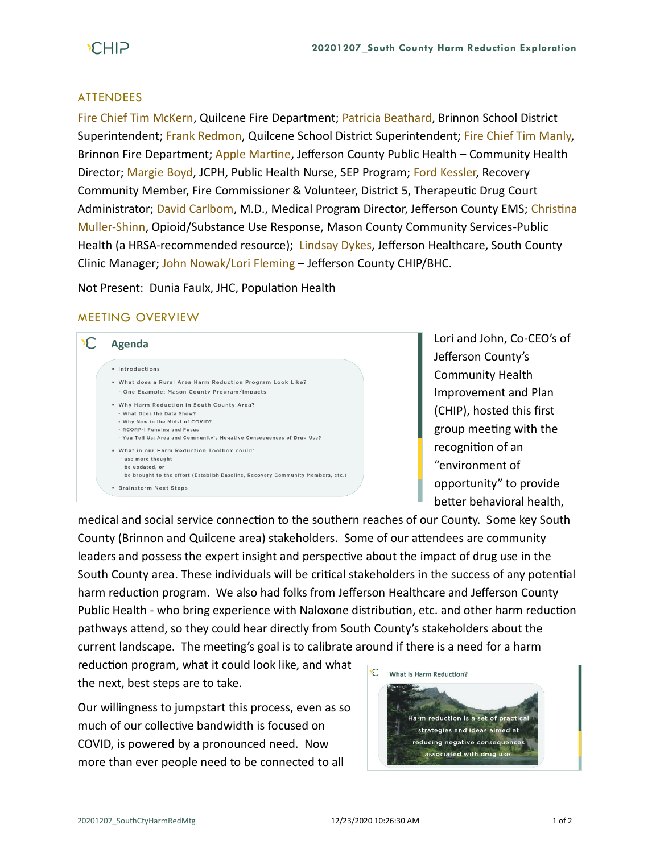## **ATTENDEES**

Fire Chief Tim McKern, Quilcene Fire Department; Patricia Beathard, Brinnon School District Superintendent; Frank Redmon, Quilcene School District Superintendent; Fire Chief Tim Manly, Brinnon Fire Department; Apple Martine, Jefferson County Public Health – Community Health Director; Margie Boyd, JCPH, Public Health Nurse, SEP Program; Ford Kessler, Recovery Community Member, Fire Commissioner & Volunteer, District 5, Therapeutic Drug Court Administrator; David Carlbom, M.D., Medical Program Director, Jefferson County EMS; Christina Muller-Shinn, Opioid/Substance Use Response, Mason County Community Services-Public Health (a HRSA-recommended resource); Lindsay Dykes, Jefferson Healthcare, South County Clinic Manager; John Nowak/Lori Fleming – Jefferson County CHIP/BHC.

Not Present: Dunia Faulx, JHC, Population Health

## MEETING OVERVIEW



Lori and John, Co-CEO's of Jefferson County's Community Health Improvement and Plan (CHIP), hosted this first group meeting with the recognition of an "environment of opportunity" to provide better behavioral health,

medical and social service connection to the southern reaches of our County. Some key South County (Brinnon and Quilcene area) stakeholders. Some of our attendees are community leaders and possess the expert insight and perspective about the impact of drug use in the South County area. These individuals will be critical stakeholders in the success of any potential harm reduction program. We also had folks from Jefferson Healthcare and Jefferson County Public Health - who bring experience with Naloxone distribution, etc. and other harm reduction pathways attend, so they could hear directly from South County's stakeholders about the current landscape. The meeting's goal is to calibrate around if there is a need for a harm

reduction program, what it could look like, and what the next, best steps are to take.

Our willingness to jumpstart this process, even as so much of our collective bandwidth is focused on COVID, is powered by a pronounced need. Now more than ever people need to be connected to all